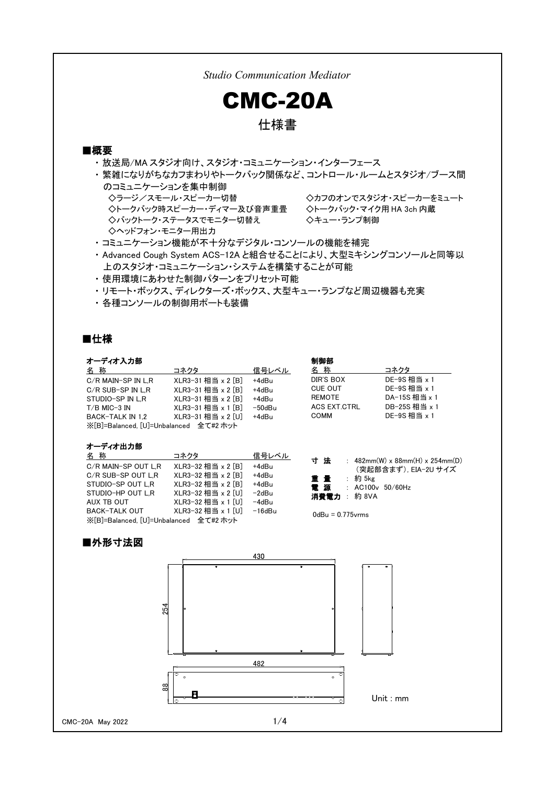*Studio Communication Mediator* CMC-20A 仕様書 ■概要 ・ 放送局/MA スタジオ向け、スタジオ・コミュニケーション・インターフェース ・ 繁雑になりがちなカフまわりやトークバック関係など、コントロール・ルームとスタジオ/ブース間 のコミュニケーションを集中制御 ◇ラージ/スモール・スピーカー切替 ◇カフのオンでスタジオ・スピーカーをミュート ◇トークバック時スピーカー・ディマー及び音声重畳 ◇トークバック・マイク用 HA 3ch 内蔵 ◇バックトーク・ステータスでモニター切替え ◇キュー・ランプ制御 ◇ヘッドフォン・モニター用出力 ・ コミュニケーション機能が不十分なデジタル・コンソールの機能を補完 ・ Advanced Cough System ACS-12A と組合せることにより、大型ミキシングコンソールと同等以 上のスタジオ・コミュニケーション・システムを構築することが可能

- ・ 使用環境にあわせた制御パターンをプリセット可能
- ・ リモート・ボックス、ディレクターズ・ボックス、大型キュー・ランプなど周辺機器も充実
- ・ 各種コンソールの制御用ポートも装備

AUX TB OUT XLR3-32 相当 x 1 [U] -4dBu BACK-TALK OUT XLR3-32 相当 x 1 [U] -16dBu

※[B]=Balanced, [U]=Unbalanced 全て#2 ホット

### ■仕様

### -ディオス カ部

| <b>オーナイオ ハカ郎</b>                       |                    |              | יום ייערנית                           |                                                                      |
|----------------------------------------|--------------------|--------------|---------------------------------------|----------------------------------------------------------------------|
| 名称                                     | コネクタ               | 信号レベル        | 名 称                                   | コネクタ                                                                 |
| C/R MAIN-SP IN L.R                     | XLR3-31 相当 x 2 [B] | +4dBu        | DIR'S BOX                             | DE-9S 相当 $\times$ 1                                                  |
| $C/R$ SUB-SP IN L.R                    | XLR3-31相当 x 2 [B]  | +4dBu        | <b>CUE OUT</b>                        | DE-9S 相当 $\times$ 1                                                  |
| STUDIO-SP IN L.R                       | XLR3-31 相当 x 2 [B] | +4dBu        | <b>REMOTE</b>                         | DA-15S 相当 x 1                                                        |
| $T/B$ MIC-3 IN                         | XLR3-31相当 x 1 $B$  | $-50$ d $Bu$ | <b>ACS EXT.CTRL</b>                   | DB-25S相当 $\times$ 1                                                  |
| BACK-TALK IN 1.2                       | XLR3-31相当 x 2 [U]  | +4dBu        | COMM                                  | DE-9S 相当 $\times$ 1                                                  |
| ※「B]=Balanced. 「U]=Unbalanced 全て#2 ホット |                    |              |                                       |                                                                      |
|                                        |                    |              |                                       |                                                                      |
| オーディオ出力部                               |                    |              |                                       |                                                                      |
| 名称                                     | コネクタ               | 信号レベル        |                                       |                                                                      |
| C/R MAIN-SP OUT L.R                    | XLR3-32 相当 x 2 [B] | +4dBu        | 寸法                                    | : $482mm(W) \times 88mm(H) \times 254mm(D)$<br>(突起部含まず) EIA-2U サイズ ― |
| C/R SUB-SP OUT L.R                     | XLR3-32 相当 x 2 [B] | +4dBu        | 重量<br>: 約 5kg                         |                                                                      |
| STUDIO-SP OUT L.R                      | XLR3-32 相当 x 2 [B] | +4dBu        | 電源                                    | : $AC100v$ $50/60Hz$                                                 |
| STUDIO-HP OUT L.R                      | XLR3-32 相当 x 2 [U] | -2dBu        | - 一電 美 35<br>$.$ $\frac{4}{3}$ 0 1/ 1 |                                                                      |

**消費電力** : 約 8VA

0dBu = 0.775vrms

制御部

## ■外形寸法図

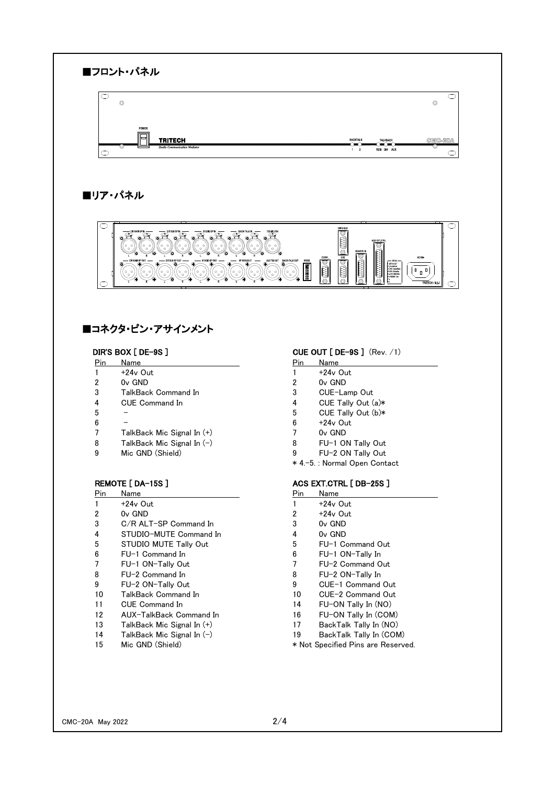

# ■コネクタ・ピン・アサインメント

- Pin Name Pin Name Pin Name Pin Name Pin Name Pin Name Pin Name Pin Name Pin Name Pin Name Pin Name Pin Name Pin Name Pin Name Pin Name Pin Name Pin Name Pin Name Pin Name Pin Name Pin Name Pin Name Pin Name Pin Name Pin Na 1 +24v Out 1 +24v Out 2 0v GND 2 0v GND 3 TalkBack Command In 3 CUE-Lamp Out 4 CUE Command In 4 CUE Tally Out (a)\* 5 - 5 CUE Tally Out (b)\*  $6 - 6 +24v$  Out
- 7 TalkBack Mic Signal In (+) 7 0v GND
- 
- 9 Mic GND (Shield) 9 FU-2 ON Tally Out

| Pin | Name                         | Pin | Name               |
|-----|------------------------------|-----|--------------------|
|     | +24v Out                     |     | $+24v$ (           |
| 2   | $0v$ GND                     | 2   | +24 <sub>v</sub> ( |
| 3   | C/R ALT-SP Command In        | 3   | $0v$ GN            |
| 4   | STUDIO-MUTE Command In       | 4   | $0v$ GN            |
| 5   | STUDIO MUTE Tally Out        | 5   | $FU-1$             |
| 6   | FU-1 Command In              | 6   | $FU-1$             |
| 7   | FU-1 ON-Tally Out            | 7   | $FU-2$             |
| 8   | FU-2 Command In              | 8   | $FU-2$             |
| 9   | FU-2 ON-Tally Out            | 9   | $CUE-1$            |
| 10  | TalkBack Command In          | 10  | $CUE-2$            |
| 11  | <b>CUE Command In</b>        | 14  | FU-OI              |
| 12  | AUX-TalkBack Command In      | 16  | FU-OI              |
| 13  | TalkBack Mic Signal In (+)   | 17  | BackT              |
| 14  | TalkBack Mic Signal In $(-)$ | 19  | <b>BackT</b>       |
| 15  | Mic GND (Shield)             |     | * Not Specifie     |
|     |                              |     |                    |

### DIR'S BOX [ DE-9S ] CUE OUT [ DE-9S ] (Rev. /1)

| 10 I | Name |
|------|------|
|      |      |

- 
- 
- 
- 
- 
- 
- 
- 8 TalkBack Mic Signal In (-) 8 FU-1 ON Tally Out
	- \* 4.-5. : Normal Open Contact
	-

### REMOTE [ DA-15S ] REMOTE [ DA-15S ]

| lame |  |  |
|------|--|--|
|      |  |  |

- 1  $+24v$  Out  $2 +24v$  Out
- 3 Ov GND
- $4$  Ov GND
- 5 FU-1 Command Out
- 6 FU-1 ON-Tally In
- 7 FU-2 Command Out
- 8 FU-2 ON-Tally In
- 9 CUE-1 Command Out
- 10 CUE-2 Command Out
- 14 FU-ON Tally In (NO)
- 16 FU-ON Tally In (COM)
- 17 BackTalk Tally In (NO)
- 19 BackTalk Tally In (COM) \* Not Specified Pins are Reserved.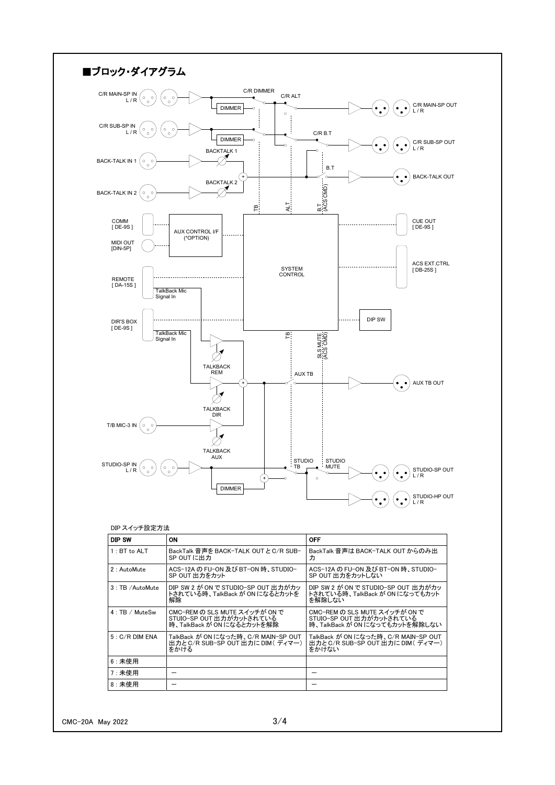